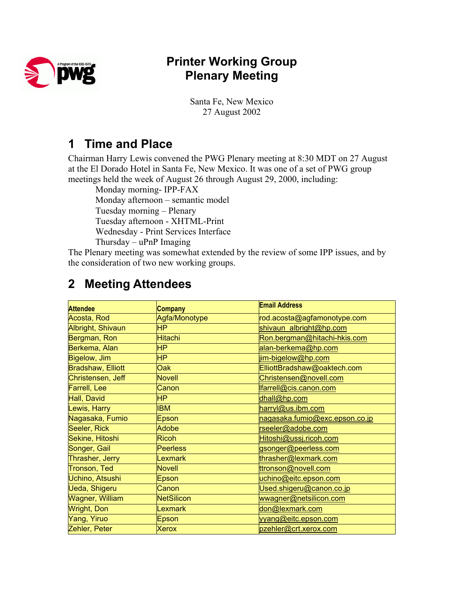

## **Printer Working Group Plenary Meeting**

Santa Fe, New Mexico 27 August 2002

## **1 Time and Place**

Chairman Harry Lewis convened the PWG Plenary meeting at 8:30 MDT on 27 August at the El Dorado Hotel in Santa Fe, New Mexico. It was one of a set of PWG group meetings held the week of August 26 through August 29, 2000, including:

Monday morning- IPP-FAX Monday afternoon – semantic model Tuesday morning – Plenary Tuesday afternoon - XHTML-Print Wednesday - Print Services Interface Thursday – uPnP Imaging

The Plenary meeting was somewhat extended by the review of some IPP issues, and by the consideration of two new working groups.

| <b>Attendee</b>          | <b>Company</b>    | <b>Email Address</b>           |
|--------------------------|-------------------|--------------------------------|
| Acosta, Rod              | Agfa/Monotype     | rod.acosta@agfamonotype.com    |
| Albright, Shivaun        | <b>HP</b>         | shivaun albright@hp.com        |
| Bergman, Ron             | <b>Hitachi</b>    | Ron.bergman@hitachi-hkis.com   |
| Berkema, Alan            | <b>HP</b>         | alan-berkema@hp.com            |
| Bigelow, Jim             | <b>HP</b>         | im-bigelow@hp.com              |
| <b>Bradshaw, Elliott</b> | Oak               | ElliottBradshaw@oaktech.com    |
| Christensen, Jeff        | <b>Novell</b>     | Christensen@novell.com         |
| <b>Farrell, Lee</b>      | Canon             | farrell@cis.canon.com          |
| Hall, David              | HP                | dhall@hp.com                   |
| Lewis, Harry             | IBM               | harryl@us.ibm.com              |
| Nagasaka, Fumio          | Epson             | nagasaka.fumio@exc.epson.co.jp |
| Seeler, Rick             | Adobe             | rseeler@adobe.com              |
| Sekine, Hitoshi          | <b>Ricoh</b>      | Hitoshi@ussj.ricoh.com         |
| Songer, Gail             | <b>Peerless</b>   | gsonger@peerless.com           |
| Thrasher, Jerry          | <b>Lexmark</b>    | thrasher@lexmark.com           |
| Tronson, Ted             | <b>Novell</b>     | ttronson@novell.com            |
| Uchino, Atsushi          | Epson             | uchino@eitc.epson.com          |
| Ueda, Shigeru            | Canon             | Used.shigeru@canon.co.jp       |
| <b>Wagner, William</b>   | <b>NetSilicon</b> | wwagner@netsilicon.com         |
| <b>Wright, Don</b>       | <b>Lexmark</b>    | don@lexmark.com                |
| Yang, Yiruo              | Epson             | yyang@eitc.epson.com           |
| Zehler, Peter            | <b>Xerox</b>      | pzehler@crt.xerox.com          |

# **2 Meeting Attendees**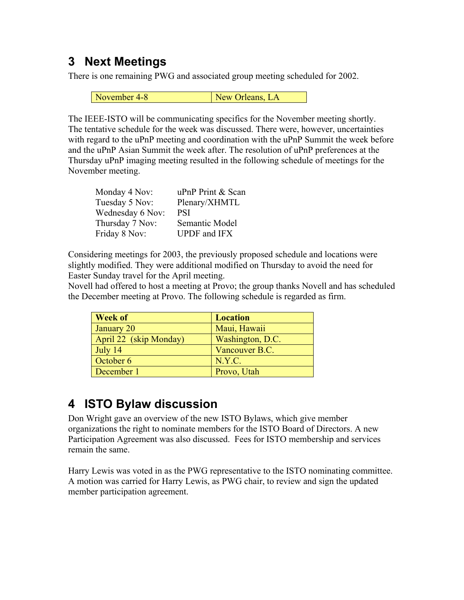## **3 Next Meetings**

There is one remaining PWG and associated group meeting scheduled for 2002.

November 4-8 New Orleans, LA

The IEEE-ISTO will be communicating specifics for the November meeting shortly. The tentative schedule for the week was discussed. There were, however, uncertainties with regard to the uPnP meeting and coordination with the uPnP Summit the week before and the uPnP Asian Summit the week after. The resolution of uPnP preferences at the Thursday uPnP imaging meeting resulted in the following schedule of meetings for the November meeting.

| Monday 4 Nov:    | uPnP Print & Scan   |
|------------------|---------------------|
| Tuesday 5 Nov:   | Plenary/XHMTL       |
| Wednesday 6 Nov: | <b>PSI</b>          |
| Thursday 7 Nov:  | Semantic Model      |
| Friday 8 Nov:    | <b>UPDF</b> and IFX |

Considering meetings for 2003, the previously proposed schedule and locations were slightly modified. They were additional modified on Thursday to avoid the need for Easter Sunday travel for the April meeting.

Novell had offered to host a meeting at Provo; the group thanks Novell and has scheduled the December meeting at Provo. The following schedule is regarded as firm.

| <b>Week of</b>         | <b>Location</b>  |
|------------------------|------------------|
| January 20             | Maui, Hawaii     |
| April 22 (skip Monday) | Washington, D.C. |
| July 14                | Vancouver B.C.   |
| October 6              | N.Y.C.           |
| December 1             | Provo, Utah      |

## **4 ISTO Bylaw discussion**

Don Wright gave an overview of the new ISTO Bylaws, which give member organizations the right to nominate members for the ISTO Board of Directors. A new Participation Agreement was also discussed. Fees for ISTO membership and services remain the same.

Harry Lewis was voted in as the PWG representative to the ISTO nominating committee. A motion was carried for Harry Lewis, as PWG chair, to review and sign the updated member participation agreement.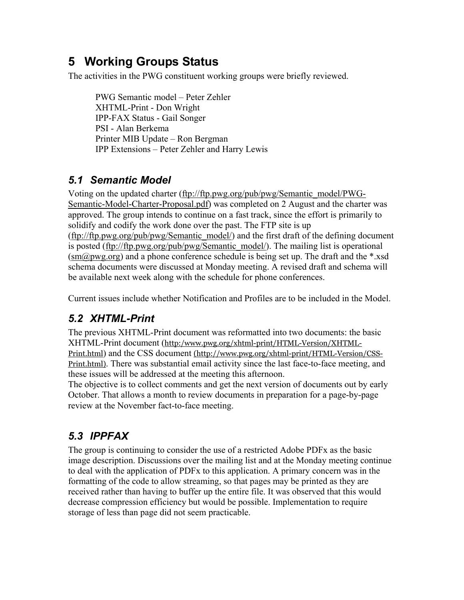# **5 Working Groups Status**

The activities in the PWG constituent working groups were briefly reviewed.

PWG Semantic model – Peter Zehler XHTML-Print - Don Wright IPP-FAX Status - Gail Songer PSI - Alan Berkema Printer MIB Update – Ron Bergman IPP Extensions – Peter Zehler and Harry Lewis

### *5.1 Semantic Model*

Voting on the updated charter [\(ftp://ftp.pwg.org/pub/pwg/Semantic\\_model/PWG-](ftp://ftp.pwg.org/pub/pwg/Semantic_model/PWG-Semantic-Model-Charter-Proposal.pdf)[Semantic-Model-Charter-Proposal.pdf\)](ftp://ftp.pwg.org/pub/pwg/Semantic_model/PWG-Semantic-Model-Charter-Proposal.pdf) was completed on 2 August and the charter was approved. The group intends to continue on a fast track, since the effort is primarily to solidify and codify the work done over the past. The FTP site is up ([ftp://ftp.pwg.org/pub/pwg/Semantic\\_model/\)](ftp://ftp.pwg.org/pub/pwg/Semantic_model/) and the first draft of the defining document is posted [\(ftp://ftp.pwg.org/pub/pwg/Semantic\\_model/](ftp://ftp.pwg.org/pub/pwg/Semantic_model/)). The mailing list is operational  $(\text{sm@pwg.org})$  and a phone conference schedule is being set up. The draft and the \*.xsd schema documents were discussed at Monday meeting. A revised draft and schema will be available next week along with the schedule for phone conferences.

Current issues include whether Notification and Profiles are to be included in the Model.

### *5.2 XHTML-Print*

The previous XHTML-Print document was reformatted into two documents: the basic XHTML-Print document ([http:/www.pwg.org/xhtml-print/HTML-Version/XHTML-](http://www.pwg.org/xhtml-print/HTML-Version/XHTML-Print.html)[Print.html](http://www.pwg.org/xhtml-print/HTML-Version/XHTML-Print.html)) and the CSS document [\(http://www.pwg.org/xhtml-print/HTML-Version/CSS-](http://www.pwg.org/xhtml-print/HTML-Version/CSS-Print.html)[Print.html\)](http://www.pwg.org/xhtml-print/HTML-Version/CSS-Print.html). There was substantial email activity since the last face-to-face meeting, and these issues will be addressed at the meeting this afternoon.

The objective is to collect comments and get the next version of documents out by early October. That allows a month to review documents in preparation for a page-by-page review at the November fact-to-face meeting.

### *5.3 IPPFAX*

The group is continuing to consider the use of a restricted Adobe PDFx as the basic image description. Discussions over the mailing list and at the Monday meeting continue to deal with the application of PDFx to this application. A primary concern was in the formatting of the code to allow streaming, so that pages may be printed as they are received rather than having to buffer up the entire file. It was observed that this would decrease compression efficiency but would be possible. Implementation to require storage of less than page did not seem practicable.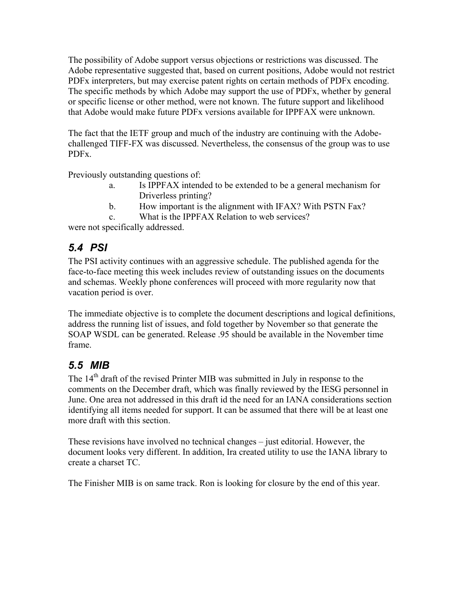The possibility of Adobe support versus objections or restrictions was discussed. The Adobe representative suggested that, based on current positions, Adobe would not restrict PDFx interpreters, but may exercise patent rights on certain methods of PDFx encoding. The specific methods by which Adobe may support the use of PDFx, whether by general or specific license or other method, were not known. The future support and likelihood that Adobe would make future PDFx versions available for IPPFAX were unknown.

The fact that the IETF group and much of the industry are continuing with the Adobechallenged TIFF-FX was discussed. Nevertheless, the consensus of the group was to use PDFx.

Previously outstanding questions of:

- a. Is IPPFAX intended to be extended to be a general mechanism for Driverless printing?
- b. How important is the alignment with IFAX? With PSTN Fax?
- c. What is the IPPFAX Relation to web services?

were not specifically addressed.

### *5.4 PSI*

The PSI activity continues with an aggressive schedule. The published agenda for the face-to-face meeting this week includes review of outstanding issues on the documents and schemas. Weekly phone conferences will proceed with more regularity now that vacation period is over.

The immediate objective is to complete the document descriptions and logical definitions, address the running list of issues, and fold together by November so that generate the SOAP WSDL can be generated. Release .95 should be available in the November time frame.

### *5.5 MIB*

The 14<sup>th</sup> draft of the revised Printer MIB was submitted in July in response to the comments on the December draft, which was finally reviewed by the IESG personnel in June. One area not addressed in this draft id the need for an IANA considerations section identifying all items needed for support. It can be assumed that there will be at least one more draft with this section.

These revisions have involved no technical changes – just editorial. However, the document looks very different. In addition, Ira created utility to use the IANA library to create a charset TC.

The Finisher MIB is on same track. Ron is looking for closure by the end of this year.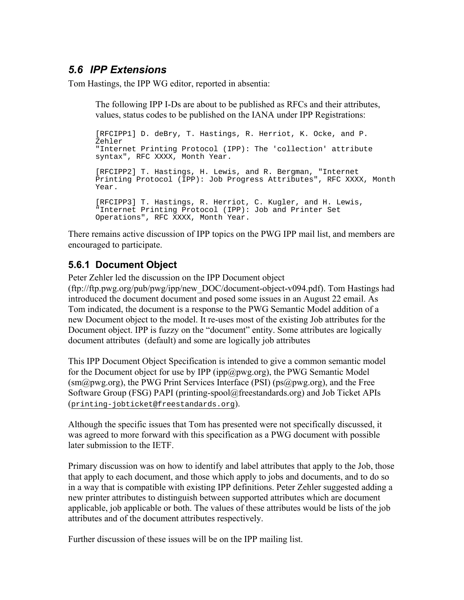#### *5.6 IPP Extensions*

Tom Hastings, the IPP WG editor, reported in absentia:

The following IPP I-Ds are about to be published as RFCs and their attributes, values, status codes to be published on the IANA under IPP Registrations:

[RFCIPP1] D. deBry, T. Hastings, R. Herriot, K. Ocke, and P. Zehler "Internet Printing Protocol (IPP): The 'collection' attribute syntax", RFC XXXX, Month Year. [RFCIPP2] T. Hastings, H. Lewis, and R. Bergman, "Internet Printing Protocol (IPP): Job Progress Attributes", RFC XXXX, Month Year. [RFCIPP3] T. Hastings, R. Herriot, C. Kugler, and H. Lewis, "Internet Printing Protocol (IPP): Job and Printer Set Operations", RFC XXXX, Month Year.

There remains active discussion of IPP topics on the PWG IPP mail list, and members are encouraged to participate.

#### **5.6.1 Document Object**

Peter Zehler led the discussion on the IPP Document object

(ftp://ftp.pwg.org/pub/pwg/ipp/new\_DOC/document-object-v094.pdf). Tom Hastings had introduced the document document and posed some issues in an August 22 email. As Tom indicated, the document is a response to the PWG Semantic Model addition of a new Document object to the model. It re-uses most of the existing Job attributes for the Document object. IPP is fuzzy on the "document" entity. Some attributes are logically document attributes (default) and some are logically job attributes

This IPP Document Object Specification is intended to give a common semantic model for the Document object for use by IPP ( $ipp@pwg.org$ ), the PWG Semantic Model  $(sm@pwg.org)$ , the PWG Print Services Interface (PSI) (ps@pwg.org), and the Free Software Group (FSG) PAPI (printing-spool@freestandards.org) and Job Ticket APIs ([printing-jobticket@freestandards.org](mailto:printing-jobticket@freestandards.org)).

Although the specific issues that Tom has presented were not specifically discussed, it was agreed to more forward with this specification as a PWG document with possible later submission to the IETF.

Primary discussion was on how to identify and label attributes that apply to the Job, those that apply to each document, and those which apply to jobs and documents, and to do so in a way that is compatible with existing IPP definitions. Peter Zehler suggested adding a new printer attributes to distinguish between supported attributes which are document applicable, job applicable or both. The values of these attributes would be lists of the job attributes and of the document attributes respectively.

Further discussion of these issues will be on the IPP mailing list.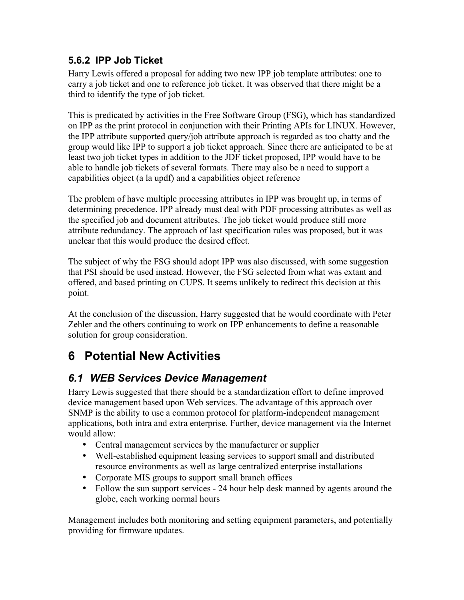#### **5.6.2 IPP Job Ticket**

Harry Lewis offered a proposal for adding two new IPP job template attributes: one to carry a job ticket and one to reference job ticket. It was observed that there might be a third to identify the type of job ticket.

This is predicated by activities in the Free Software Group (FSG), which has standardized on IPP as the print protocol in conjunction with their Printing APIs for LINUX. However, the IPP attribute supported query/job attribute approach is regarded as too chatty and the group would like IPP to support a job ticket approach. Since there are anticipated to be at least two job ticket types in addition to the JDF ticket proposed, IPP would have to be able to handle job tickets of several formats. There may also be a need to support a capabilities object (a la updf) and a capabilities object reference

The problem of have multiple processing attributes in IPP was brought up, in terms of determining precedence. IPP already must deal with PDF processing attributes as well as the specified job and document attributes. The job ticket would produce still more attribute redundancy. The approach of last specification rules was proposed, but it was unclear that this would produce the desired effect.

The subject of why the FSG should adopt IPP was also discussed, with some suggestion that PSI should be used instead. However, the FSG selected from what was extant and offered, and based printing on CUPS. It seems unlikely to redirect this decision at this point.

At the conclusion of the discussion, Harry suggested that he would coordinate with Peter Zehler and the others continuing to work on IPP enhancements to define a reasonable solution for group consideration.

# **6 Potential New Activities**

### *6.1 WEB Services Device Management*

Harry Lewis suggested that there should be a standardization effort to define improved device management based upon Web services. The advantage of this approach over SNMP is the ability to use a common protocol for platform-independent management applications, both intra and extra enterprise. Further, device management via the Internet would allow:

- Central management services by the manufacturer or supplier
- Well-established equipment leasing services to support small and distributed resource environments as well as large centralized enterprise installations
- Corporate MIS groups to support small branch offices
- Follow the sun support services 24 hour help desk manned by agents around the globe, each working normal hours

Management includes both monitoring and setting equipment parameters, and potentially providing for firmware updates.